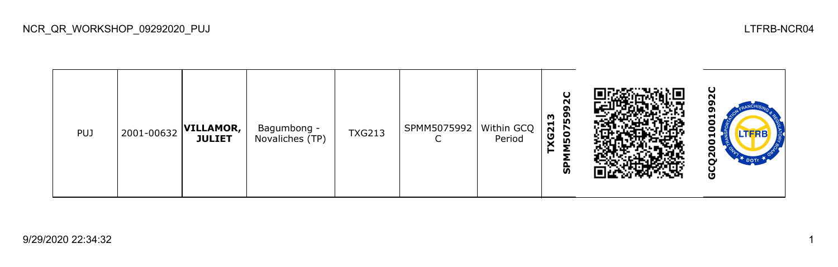| <b>PUJ</b> | 2001-00632 | <b>VILLAMOR,</b><br><b>JULIET</b> | Bagumbong -<br>Novaliches (TP) | <b>TXG213</b> | SPMM5075992 | Within GCQ  <br>Period | ပ<br>ິ<br>59<br>ო<br><b>XG21</b><br>507<br>≂<br>င္ဟ |  | ပ<br>oı<br>−<br>o<br>o<br>LTERE<br>−<br>o<br>Ξ<br>$\mathbf{a}$<br>DOTT<br>ט |
|------------|------------|-----------------------------------|--------------------------------|---------------|-------------|------------------------|-----------------------------------------------------|--|-----------------------------------------------------------------------------|
|------------|------------|-----------------------------------|--------------------------------|---------------|-------------|------------------------|-----------------------------------------------------|--|-----------------------------------------------------------------------------|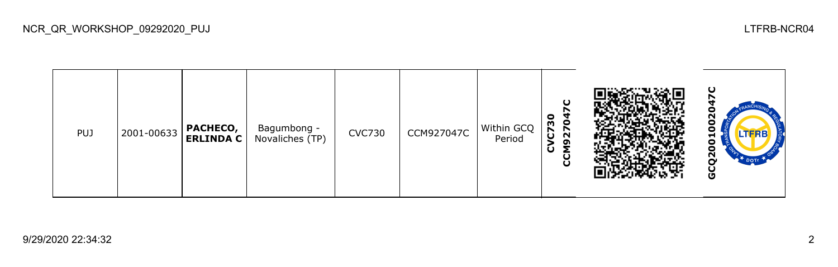| <b>PUJ</b> | 2001-00633 | PACHECO,<br><b>ERLINDA C</b> | Bagumbong -<br>Novaliches (TP) | <b>CVC730</b> | CCM927047C | Within GCQ<br>Period | O<br>0<br>$\bullet$<br>m<br>$\overline{\mathbf{z}}$<br>5<br>ຸດ<br>≂<br>َت<br>U<br>ပ |  | ပ<br>רי<br>o<br>o<br><b>LTFRB</b><br>−<br>ο<br>o<br>ี<br>o |
|------------|------------|------------------------------|--------------------------------|---------------|------------|----------------------|-------------------------------------------------------------------------------------|--|------------------------------------------------------------|
|------------|------------|------------------------------|--------------------------------|---------------|------------|----------------------|-------------------------------------------------------------------------------------|--|------------------------------------------------------------|

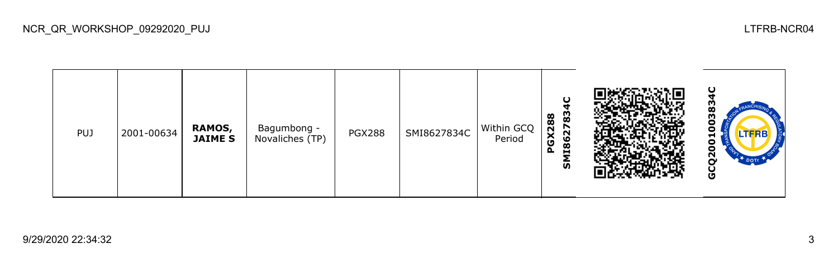| <b>PUJ</b> | 2001-00634 | RAMOS,<br><b>JAIME S</b> | Bagumbong -<br>Novaliches (TP) | <b>PGX288</b> | SMI8627834C | Within GCQ<br>Period | O<br>စ္ပ<br>GX288<br>N<br>11862<br>௳<br>ທ |  | ပ<br><br>ო<br>о<br>о<br><b>LTFRB</b><br>⊣<br>o<br>Ξ<br>Ν<br>U |
|------------|------------|--------------------------|--------------------------------|---------------|-------------|----------------------|-------------------------------------------|--|---------------------------------------------------------------|
|------------|------------|--------------------------|--------------------------------|---------------|-------------|----------------------|-------------------------------------------|--|---------------------------------------------------------------|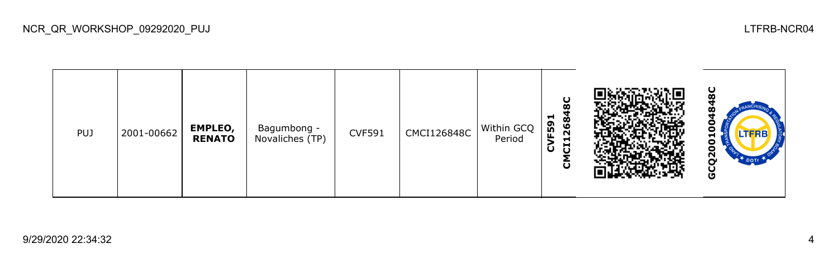**GCQ2001004848CCMCI126848C CVF591** PUJ 2001-00662 **EMPLEO,**  Bagumbong -<br>Novaliches (TP)  $CVF591$   $CMCI126848C$  Within GCQ c **RENATO** Period 5 GCQ20

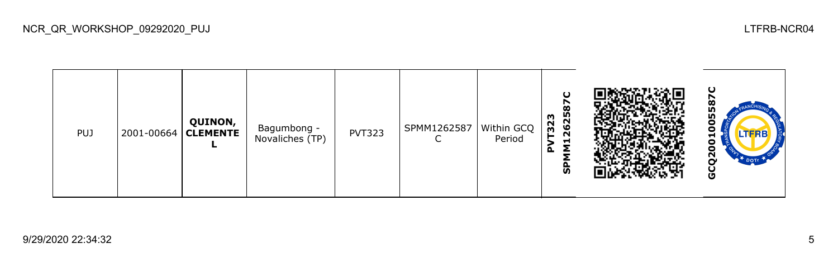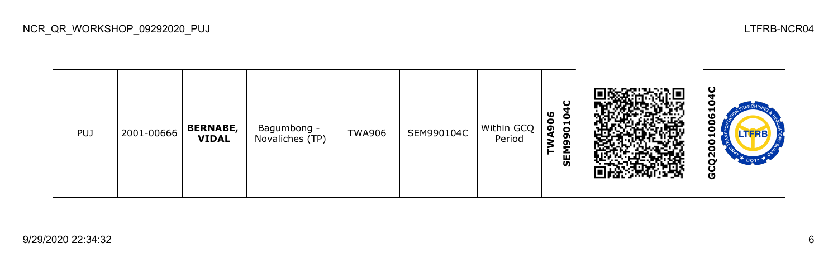| <b>PUJ</b> | 2001-00666 | <b>BERNABE,</b><br><b>VIDAL</b> | Bagumbong -<br>Novaliches (TP) | <b>TWA906</b> | SEM990104C | Within GCQ<br>Period | ഄ<br>0<br>န္တ<br>Н<br>$\circ$<br>໑<br>თ<br>ਵ<br><b>GEN</b> |  | −<br>$\boldsymbol{\omega}$<br>−<br>2<br>O |
|------------|------------|---------------------------------|--------------------------------|---------------|------------|----------------------|------------------------------------------------------------|--|-------------------------------------------|
|------------|------------|---------------------------------|--------------------------------|---------------|------------|----------------------|------------------------------------------------------------|--|-------------------------------------------|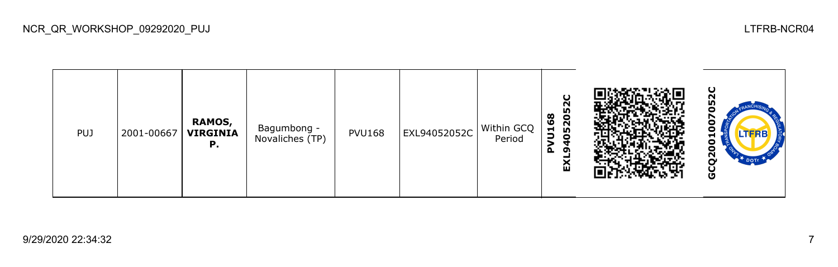

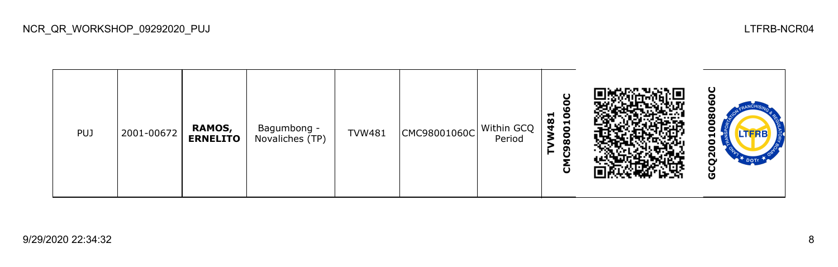| <b>PUJ</b> | 2001-00672 | RAMOS,<br><b>ERNELITO</b> | Bagumbong -<br>Novaliches (TP) | <b>TVW481</b> | CMC98001060C | Within GCQ<br>Period | о<br>$\circ$<br>$\frac{8}{3}$<br>−<br>$\bullet$<br>$\bullet$<br>œ<br>თ<br>ပ |  | w<br>N<br>O |
|------------|------------|---------------------------|--------------------------------|---------------|--------------|----------------------|-----------------------------------------------------------------------------|--|-------------|
|------------|------------|---------------------------|--------------------------------|---------------|--------------|----------------------|-----------------------------------------------------------------------------|--|-------------|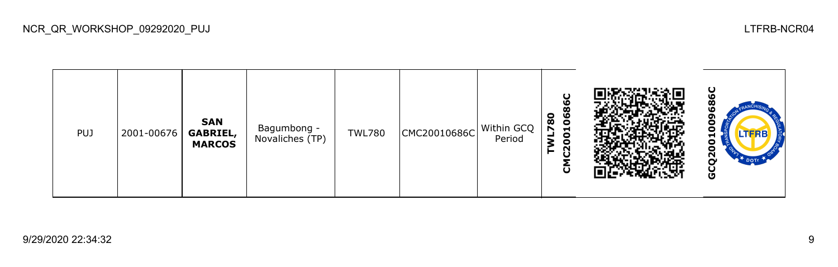ပ္စ **GCQ2001009686CCMC20010686C** ā **TWL780 SAN**  Θ Bagumbong -<br>Novaliches (TP) TWL780  $\vert$  CMC20010686C Within GCQ c PUJ 2001-00676 **GABRIEL,**  Period ដ **MARCOS** GCQ20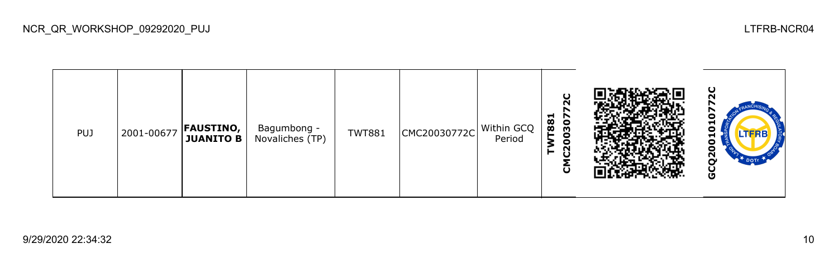| <b>PUJ</b> | 2001-00677 | <b>FAUSTINO,</b><br><b>JUANITO B</b> | Bagumbong -<br>Novaliches (TP) | <b>TWT881</b> | CMC20030772C | Within GCQ<br>Period | O<br>$\sim$<br>ᆋ<br>r<br>T88<br>႙<br>c<br>o<br>N<br>►<br>$\mathbf \omega$ |  | ပ<br>ิ<br>c<br><b>H</b><br>0<br>−<br>0<br>0<br>N<br><b>DOTE</b><br>Ο<br>မ္မ |
|------------|------------|--------------------------------------|--------------------------------|---------------|--------------|----------------------|---------------------------------------------------------------------------|--|-----------------------------------------------------------------------------|
|------------|------------|--------------------------------------|--------------------------------|---------------|--------------|----------------------|---------------------------------------------------------------------------|--|-----------------------------------------------------------------------------|

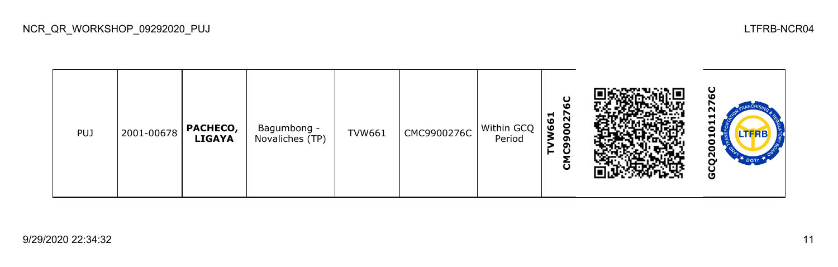| <b>PUJ</b> | 2001-00678 | PACHECO,<br><b>LIGAYA</b> | Bagumbong -<br>Novaliches (TP) | <b>TVW661</b> | CMC9900276C | Within GCQ<br>Period | O<br>⊣<br>002<br>ဖ<br>Ō<br>o<br>ຫ<br>⊢<br>O<br>ō |  | ပ<br>N<br>▬<br>ᆏ<br>Ο<br>LTERB<br>⊣<br>o<br>o<br>์<br>DOT<br>O |
|------------|------------|---------------------------|--------------------------------|---------------|-------------|----------------------|--------------------------------------------------|--|----------------------------------------------------------------|
|------------|------------|---------------------------|--------------------------------|---------------|-------------|----------------------|--------------------------------------------------|--|----------------------------------------------------------------|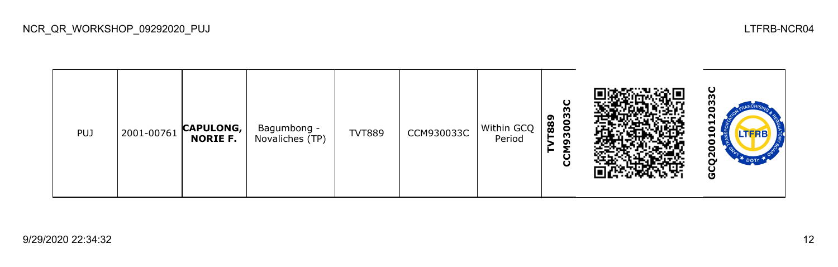| <b>PUJ</b> |  | 2001-00761 CAPULONG,<br><b>NORIE F.</b> | Bagumbong -<br>Novaliches (TP) | <b>TVT889</b> | CCM930033C | Within GCQ<br>Period | $\mathbf C$<br>M<br>3003<br>889<br>m<br>ပ္ပ |  | ပ<br>m<br>m<br>o<br>N<br>ы<br>0<br>−<br>0<br>Ο<br>ဥ<br>$2 +$ DOTI<br>မ္ပ |
|------------|--|-----------------------------------------|--------------------------------|---------------|------------|----------------------|---------------------------------------------|--|--------------------------------------------------------------------------|
|------------|--|-----------------------------------------|--------------------------------|---------------|------------|----------------------|---------------------------------------------|--|--------------------------------------------------------------------------|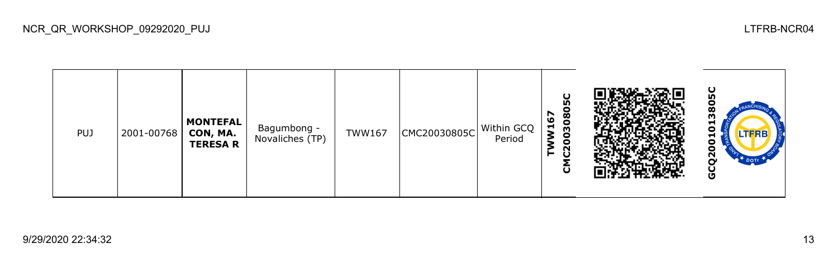| PUJ | 2001-00768   CON, MA. | <b>MONTEFAL</b><br><b>TERESA R</b> | Bagumbong -<br>Novaliches (TP) | <b>TWW167</b> | CMC20030805C | Within GCQ<br>Period | O<br>LO <sub>1</sub><br>င္စ<br>↖<br>$\boldsymbol{\omega}$<br>030<br>$\overline{\mathsf{z}}$<br>o<br>Ĉ,<br>⊢<br>$\mathbf \omega$ |  | ပ္က<br>m<br>5<br><b>LTFRB</b><br>−<br>o<br>Θ<br>ี<br><b>DOTI</b><br>O |
|-----|-----------------------|------------------------------------|--------------------------------|---------------|--------------|----------------------|---------------------------------------------------------------------------------------------------------------------------------|--|-----------------------------------------------------------------------|
|-----|-----------------------|------------------------------------|--------------------------------|---------------|--------------|----------------------|---------------------------------------------------------------------------------------------------------------------------------|--|-----------------------------------------------------------------------|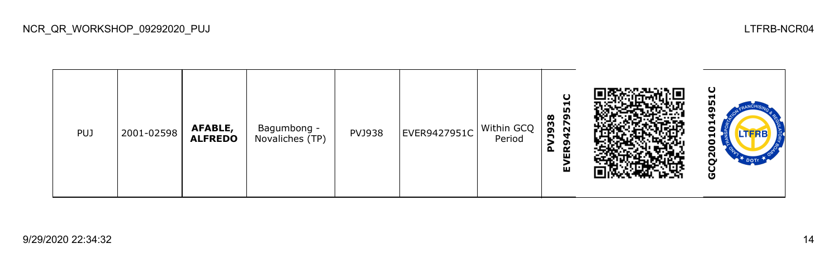| PUJ | 2001-02598 | AFABLE,<br><b>ALFREDO</b> | Bagumbong -<br>Novaliches (TP) | <b>PVJ938</b> | EVER9427951C | Within GCQ<br>Period | O<br>51<br><b>856C</b><br>ຶ<br><u>izi</u><br>ч<br>ဥ<br>۵.<br>ш<br>ш |  | ပ<br>−<br>⊣<br>Ο<br>LTFRB<br>⊣<br>Ξ<br>о<br>ี่<br>U |
|-----|------------|---------------------------|--------------------------------|---------------|--------------|----------------------|---------------------------------------------------------------------|--|-----------------------------------------------------|
|-----|------------|---------------------------|--------------------------------|---------------|--------------|----------------------|---------------------------------------------------------------------|--|-----------------------------------------------------|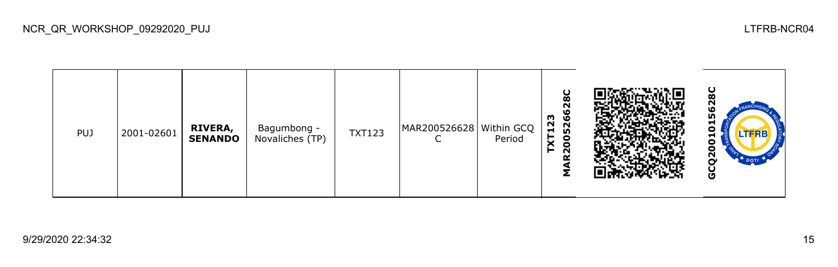| <b>PUJ</b> | 2001-02601 | <b>RIVERA,<br/>SENANDO</b> | Bagumbong -<br>Novaliches (TP) | <b>TXT123</b> | MAR200526628   Within GCQ<br>◡ | Period | U<br>œ<br>N<br>١O<br>23<br>ق<br>52<br>5<br>$\blacksquare$<br>X<br>8<br>$\sim$<br>► |  | ပ<br>m<br>⊣<br>Ο<br><b>LTFRB</b><br>▬<br>Ξ<br>Ξ<br>ี<br>မ္ပ |
|------------|------------|----------------------------|--------------------------------|---------------|--------------------------------|--------|------------------------------------------------------------------------------------|--|-------------------------------------------------------------|
|------------|------------|----------------------------|--------------------------------|---------------|--------------------------------|--------|------------------------------------------------------------------------------------|--|-------------------------------------------------------------|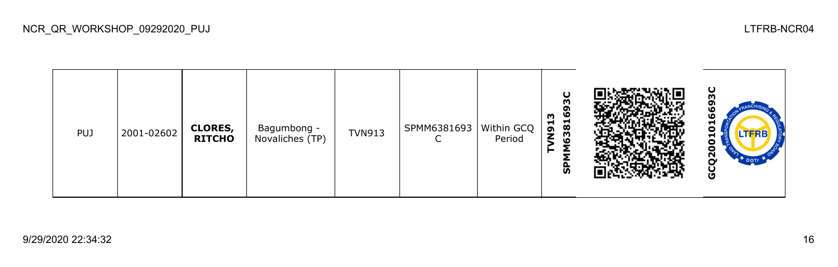| <b>PUJ</b> | 2001-02602 | <b>CLORES,</b><br><b>RITCHO</b> | Bagumbong -<br>Novaliches (TP) | <b>TVN913</b> | SPMM6381693<br>∽<br>◡ | Within GCQ<br>Period | O<br>m<br>ຸດ<br>ဖ<br>m<br>381<br><b>L6N</b><br>ჭ |  | ပ<br>ω<br>ᆋ<br>o<br><b>LTFRB</b><br>−<br>o<br>Ξ<br>N<br>DOT<br>ن<br>ق |
|------------|------------|---------------------------------|--------------------------------|---------------|-----------------------|----------------------|--------------------------------------------------|--|-----------------------------------------------------------------------|
|------------|------------|---------------------------------|--------------------------------|---------------|-----------------------|----------------------|--------------------------------------------------|--|-----------------------------------------------------------------------|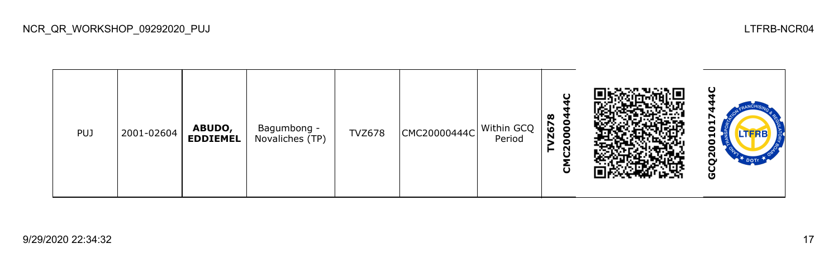| <b>PUJ</b> | 2001-02604 | ABUDO,<br><b>EDDIEMEL</b> | Bagumbong -<br>Novaliches (TP) | <b>TVZ678</b> | CMC20000444C | Within GCQ<br>Period | O<br>œ<br>000<br>7267<br>c<br>$\mathbf{\tilde{N}}$<br>⊢<br>O<br>õ |  | ⊣<br>Ο<br>LTERB<br>▬<br>о<br>о<br>ี่<br>O |
|------------|------------|---------------------------|--------------------------------|---------------|--------------|----------------------|-------------------------------------------------------------------|--|-------------------------------------------|
|------------|------------|---------------------------|--------------------------------|---------------|--------------|----------------------|-------------------------------------------------------------------|--|-------------------------------------------|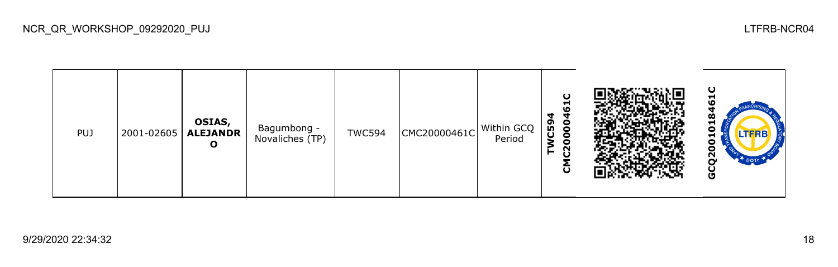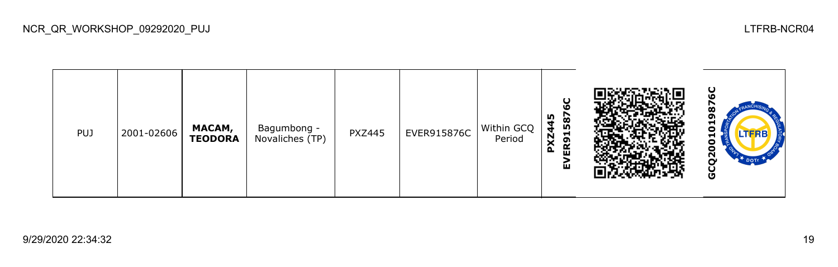| <b>PUJ</b> | 2001-02606 | MACAM,<br><b>TEODORA</b> | Bagumbong -<br>Novaliches (TP) | <b>PXZ445</b> | EVER915876C | Within GCQ<br>Period | U<br><b>LO</b><br>m<br>587<br>đ<br><b>PXZ4</b><br>Н<br>ER9<br>屲 |  | ပ<br>œ<br>ຫ<br>⊣<br>$\bullet$<br>ᆔ<br>0<br>0<br>$\mathbf{S}$<br><b>P</b> DOTT<br>ပ<br>O |
|------------|------------|--------------------------|--------------------------------|---------------|-------------|----------------------|-----------------------------------------------------------------|--|-----------------------------------------------------------------------------------------|
|------------|------------|--------------------------|--------------------------------|---------------|-------------|----------------------|-----------------------------------------------------------------|--|-----------------------------------------------------------------------------------------|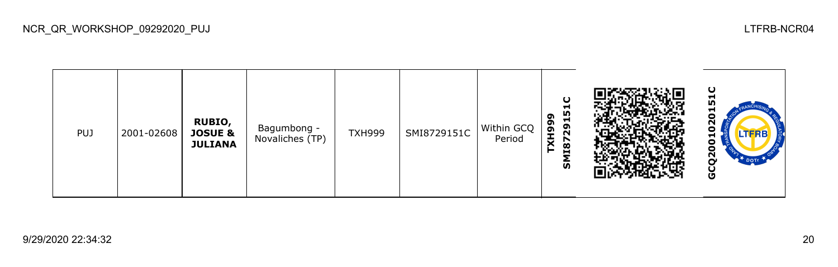**GCQ2001020151CSMI8729151C** Ŋ 020 **TXH999 RUBIO,**  Bagumbong - TXH999 SMI8729151C Within GCQ Bagumbong - PUJ 2001-02608 **JOSUE &**  Period  $\overline{\mathbf{5}}$ **JULIANA** GCQ20

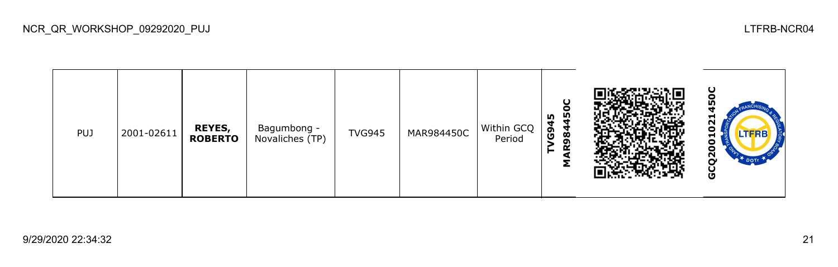| PUJ | 2001-02611 | <b>REYES,</b><br><b>ROBERTO</b> | Bagumbong -<br>Novaliches (TP) | <b>TVG945</b> | MAR984450C | Within GCQ<br>Period | ပ<br>Θ<br>m<br>m<br>Ч<br>ဇိ<br>Ŵ<br>o۱<br>≃<br>Σ |  | ပ<br>m<br>−<br>ี<br>о<br>−<br>o<br>о<br><u>გ</u><br>$\mathbb{R}^+$ DOTT<br>ט |
|-----|------------|---------------------------------|--------------------------------|---------------|------------|----------------------|--------------------------------------------------|--|------------------------------------------------------------------------------|
|-----|------------|---------------------------------|--------------------------------|---------------|------------|----------------------|--------------------------------------------------|--|------------------------------------------------------------------------------|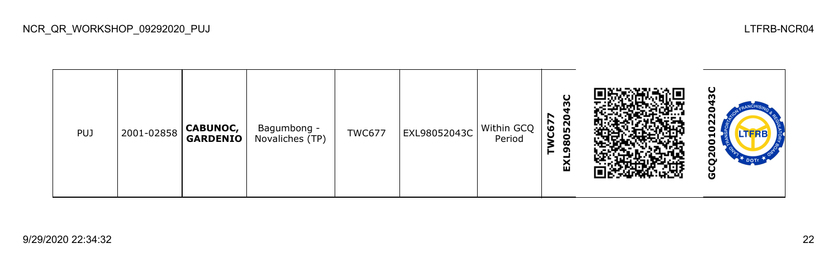| <b>PUJ</b> | 2001-02858 | <b>CABUNOC,</b><br>GARDENIO | Bagumbong -<br>Novaliches (TP) | <b>TWC677</b> | EXL98052043C | Within GCQ<br>Period | O<br>m<br>r<br>o<br>052<br>C67<br>$\boldsymbol{\infty}$<br>ຶ<br>ΕX |  | ပ<br>N<br>N<br>О<br>LTFRE<br>п<br>о<br>о<br>2<br>DOTE<br>O |
|------------|------------|-----------------------------|--------------------------------|---------------|--------------|----------------------|--------------------------------------------------------------------|--|------------------------------------------------------------|
|------------|------------|-----------------------------|--------------------------------|---------------|--------------|----------------------|--------------------------------------------------------------------|--|------------------------------------------------------------|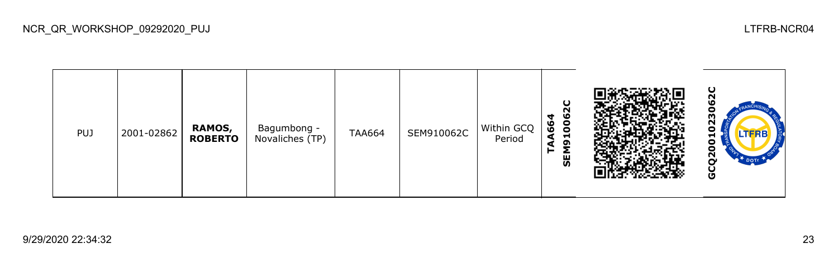| <b>PUJ</b> | 2001-02862 | <b>RAMOS,</b><br><b>ROBERTO</b> | Bagumbong -<br>Novaliches (TP) | <b>TAA664</b> | SEM910062C | $\vert$ Within GCQ $\vert$<br>Period | $\mathbf C$<br>n<br>006<br>4<br>66<br>ᆏ<br>ຶ<br><b>SEM</b> |  | ပ<br>N<br>ഥ<br>о<br>ო<br>N<br>o<br>ш<br>o<br>8<br>$\mathbf{S}$<br>DOTE<br>ပ<br>U |
|------------|------------|---------------------------------|--------------------------------|---------------|------------|--------------------------------------|------------------------------------------------------------|--|----------------------------------------------------------------------------------|
|------------|------------|---------------------------------|--------------------------------|---------------|------------|--------------------------------------|------------------------------------------------------------|--|----------------------------------------------------------------------------------|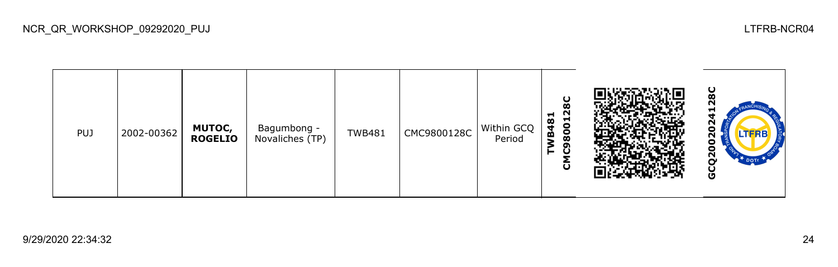

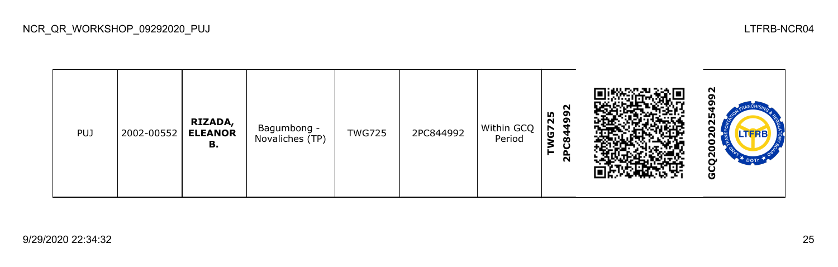

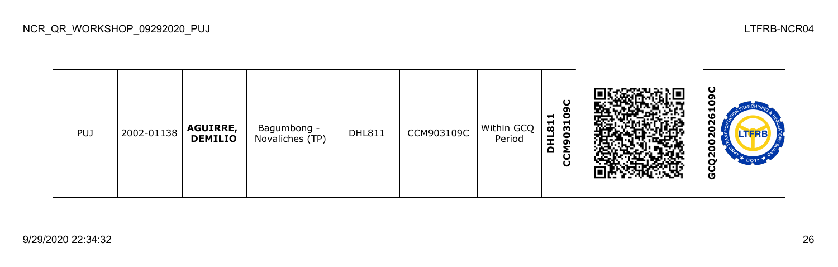| <b>PUJ</b> | 2002-01138 | <b>AGUIRRE,</b><br><b>DEMILIO</b> | Bagumbong -<br>Novaliches (TP) | <b>DHL811</b> | CCM903109C | Within GCQ<br>Period | ပ<br>σ<br>$\bullet$<br>$\blacksquare$<br>11L811<br>19031<br>$\Omega$<br>ပြ |  | ပ<br>−<br>LΟ<br>N<br>Ο<br>LTERB<br>о<br>Ο<br>N<br><b>DOTI</b><br>U |
|------------|------------|-----------------------------------|--------------------------------|---------------|------------|----------------------|----------------------------------------------------------------------------|--|--------------------------------------------------------------------|
|------------|------------|-----------------------------------|--------------------------------|---------------|------------|----------------------|----------------------------------------------------------------------------|--|--------------------------------------------------------------------|

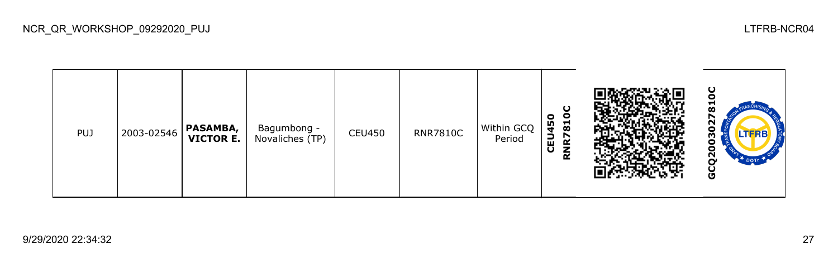| <b>PUJ</b> | 2003-02546 | <b>PASAMBA,</b><br><b>VICTOR E.</b> | Bagumbong -<br>Novaliches (TP) | <b>CEU450</b> | <b>RNR7810C</b> | Within GCQ<br>Period | ပ<br>0<br>$\circ$<br>Н<br>m<br>$\boldsymbol{\infty}$<br>品<br>r<br>$\sim$<br>$\tilde{\mathbf{R}}$<br>ပ |  | O<br>Ħ<br>മ<br>LTERB<br>m<br>N<br>O |
|------------|------------|-------------------------------------|--------------------------------|---------------|-----------------|----------------------|-------------------------------------------------------------------------------------------------------|--|-------------------------------------|
|------------|------------|-------------------------------------|--------------------------------|---------------|-----------------|----------------------|-------------------------------------------------------------------------------------------------------|--|-------------------------------------|

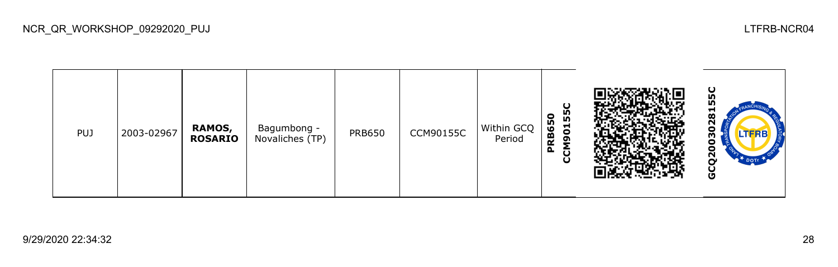| <b>PUJ</b> | 2003-02967 | <b>RAMOS,</b><br><b>ROSARIO</b> | Bagumbong -<br>Novaliches (TP) | <b>PRB650</b> | <b>CCM90155C</b> | Within GCQ<br>Period | ပ<br>155<br>650<br>$\overline{9}$<br>RØ.<br>동<br>$\mathbf{a}$<br>С |  | ပ္စ<br><b>In</b><br>$\overline{\mathbf{3}}$<br>N<br>o<br><b>LTFRB</b><br>m<br>8<br>$\mathbf{S}^{\mathbf{C}}$<br>$\mathbb{R}^*$ DOTE<br>O |
|------------|------------|---------------------------------|--------------------------------|---------------|------------------|----------------------|--------------------------------------------------------------------|--|------------------------------------------------------------------------------------------------------------------------------------------|
|------------|------------|---------------------------------|--------------------------------|---------------|------------------|----------------------|--------------------------------------------------------------------|--|------------------------------------------------------------------------------------------------------------------------------------------|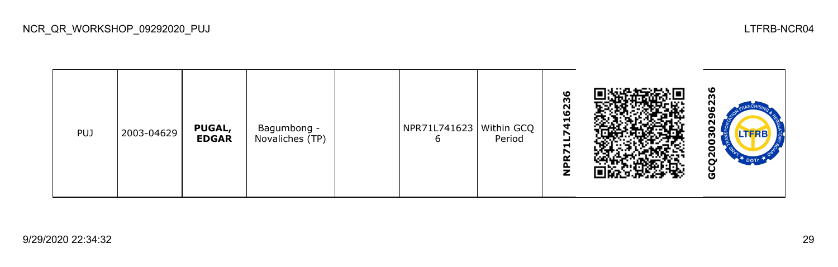| <b>PUJ</b> | 2003-04629 | <b>PUGAL,</b><br><b>EDGAR</b> | Bagumbong -<br>Novaliches (TP) |  | NPR71L741623   Within GCQ<br>ь | Period | ဖ<br>23<br>O<br>$\frac{1}{4}$<br>r<br>Н<br>↖<br>œ<br>z |  | ဖ<br>N<br>o<br>N<br>Ξ<br><b>LTFRB</b><br>m<br>Ξ<br>ō<br>ี่<br>မိ |
|------------|------------|-------------------------------|--------------------------------|--|--------------------------------|--------|--------------------------------------------------------|--|------------------------------------------------------------------|
|------------|------------|-------------------------------|--------------------------------|--|--------------------------------|--------|--------------------------------------------------------|--|------------------------------------------------------------------|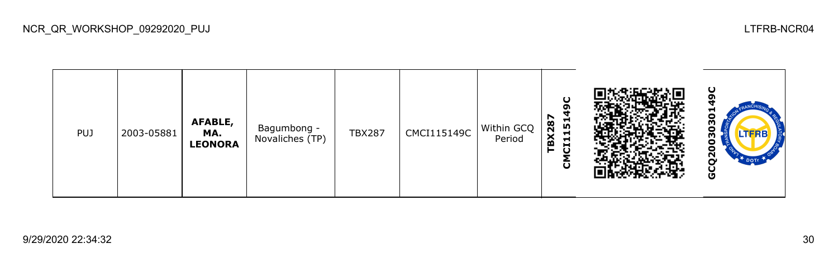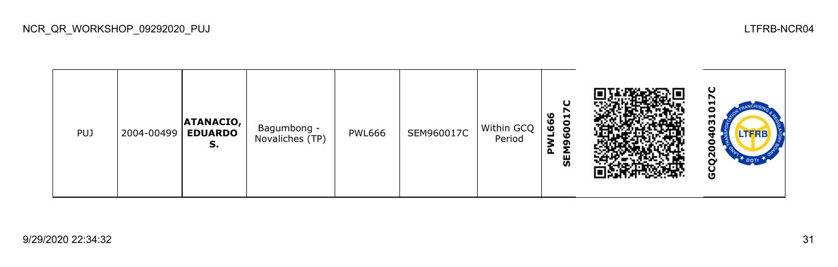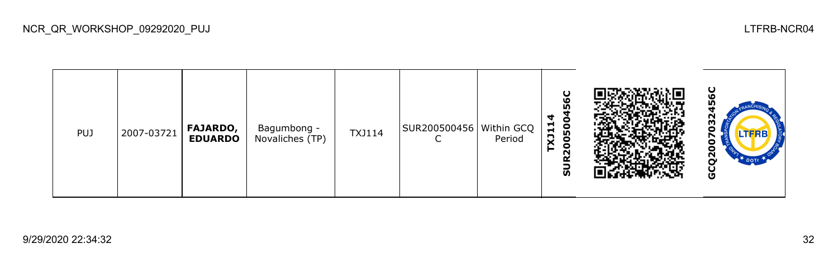| <b>PUJ</b> | 2007-03721 | <b>FAJARDO,</b><br><b>EDUARDO</b> | Bagumbong -<br>Novaliches (TP) | <b>TXJ114</b> | SUR200500456 Within GCQ | Period | 56C<br>4<br>0500<br>$\blacksquare$<br>X11<br>$\bullet$<br>►<br>N<br>œ<br>ູລ |  | ပ<br>ဖ<br>m<br>032<br>↖<br>0<br>Θ<br><u>გ</u><br><b>DOTE</b><br>Ŭ<br>تا |
|------------|------------|-----------------------------------|--------------------------------|---------------|-------------------------|--------|-----------------------------------------------------------------------------|--|-------------------------------------------------------------------------|
|------------|------------|-----------------------------------|--------------------------------|---------------|-------------------------|--------|-----------------------------------------------------------------------------|--|-------------------------------------------------------------------------|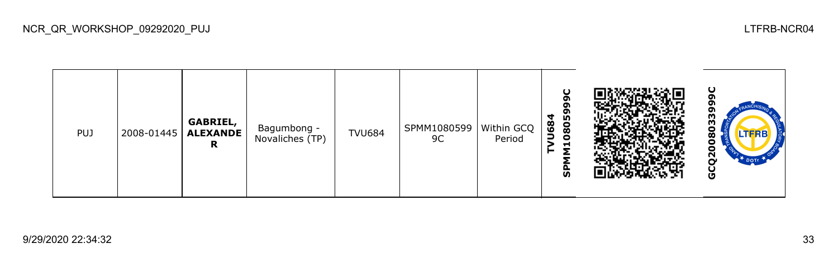| PUJ | 2008-01445 | <b>GABRIEL,</b><br>ALEXANDE<br>R | Bagumbong -<br>Novaliches (TP) | <b>TVU684</b> | SPMM1080599<br>9C | Within GCQ<br>Period | $\mathbf C$<br>σ<br>0805<br>$\blacktriangleleft$<br><b>U68</b><br>Н<br>≂<br>o<br><b>S</b> |  | ပ<br>o<br>ო<br>o<br>LTERE<br>œ<br>o<br>$\overline{2}$<br>DOT <sub>T</sub><br>O |
|-----|------------|----------------------------------|--------------------------------|---------------|-------------------|----------------------|-------------------------------------------------------------------------------------------|--|--------------------------------------------------------------------------------|
|-----|------------|----------------------------------|--------------------------------|---------------|-------------------|----------------------|-------------------------------------------------------------------------------------------|--|--------------------------------------------------------------------------------|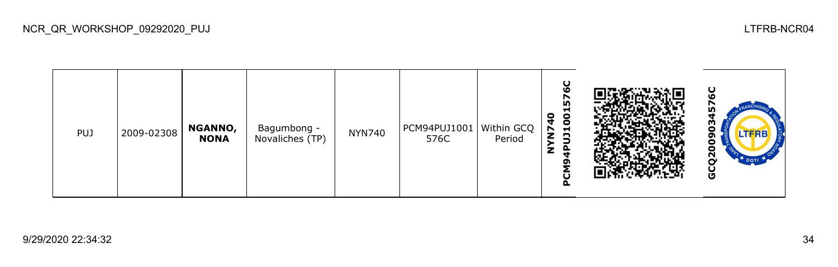| <b>PUJ</b> | 2009-02308 | NGANNO,<br><b>NONA</b> | Bagumbong -<br>Novaliches (TP) | <b>NYN740</b> | $ $ PCM94PUJ1001 $ $ Within GCQ $ $<br>576C | Period | ပ<br>ဖ<br>m<br>Н<br>N740<br><b>DOTC</b><br>z<br>ຫ<br>O<br>o |  | ပ<br>о<br><b>LTFRB</b><br>ה<br>Ο<br>Ξ<br>$\mathbf{S}$<br>ပ<br>U |
|------------|------------|------------------------|--------------------------------|---------------|---------------------------------------------|--------|-------------------------------------------------------------|--|-----------------------------------------------------------------|
|------------|------------|------------------------|--------------------------------|---------------|---------------------------------------------|--------|-------------------------------------------------------------|--|-----------------------------------------------------------------|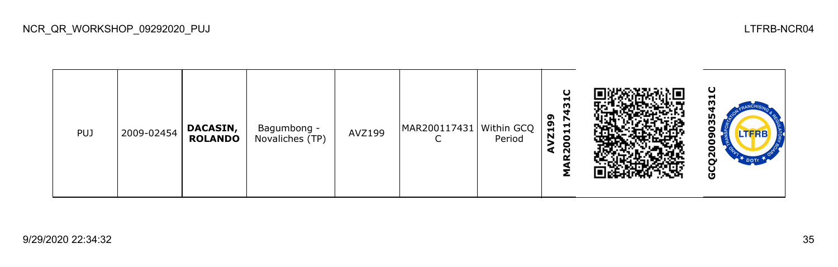| <b>PUJ</b> | 2009-02454 | <b>DACASIN,</b><br><b>ROLANDO</b> | Bagumbong -<br>Novaliches (TP) | AVZ199 | MAR200117431   Within GCQ | Period | ပ<br>ᆔ<br>ຶ<br>r<br><b>Z19</b><br>Ħ<br>$\overline{5}$<br>⋧<br>0<br>$\sim$ |  | ပ<br>▬<br>m<br>56<br>$\bullet$<br>თ<br>0<br>٥<br>$\bar{\mathbf{S}}$<br><b>DOTE</b><br>ပ<br>O |
|------------|------------|-----------------------------------|--------------------------------|--------|---------------------------|--------|---------------------------------------------------------------------------|--|----------------------------------------------------------------------------------------------|
|------------|------------|-----------------------------------|--------------------------------|--------|---------------------------|--------|---------------------------------------------------------------------------|--|----------------------------------------------------------------------------------------------|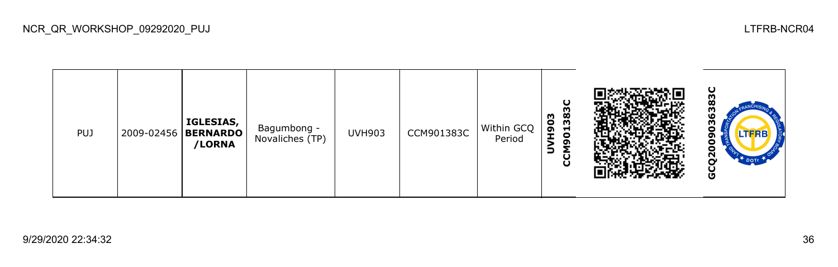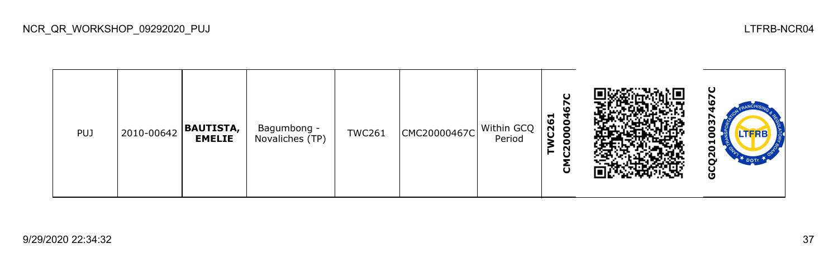| <b>PUJ</b> | 2010-00642 | <b>BAUTISTA,</b><br><b>EMELIE</b> | Bagumbong -<br>Novaliches (TP) | <b>TWC261</b> | CMC20000467C | Within GCQ<br>Period | ပ<br>ဖ<br>000<br>$\overline{c}$<br>$\bullet$<br>G<br>►<br>ົບ |  | ပ<br>רו<br>w<br>o<br><b>LTFRB</b><br>ο<br>런<br>Ξ<br>ี<br>o |
|------------|------------|-----------------------------------|--------------------------------|---------------|--------------|----------------------|--------------------------------------------------------------|--|------------------------------------------------------------|
|------------|------------|-----------------------------------|--------------------------------|---------------|--------------|----------------------|--------------------------------------------------------------|--|------------------------------------------------------------|

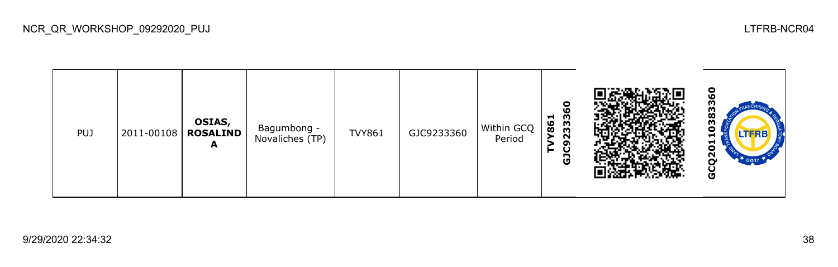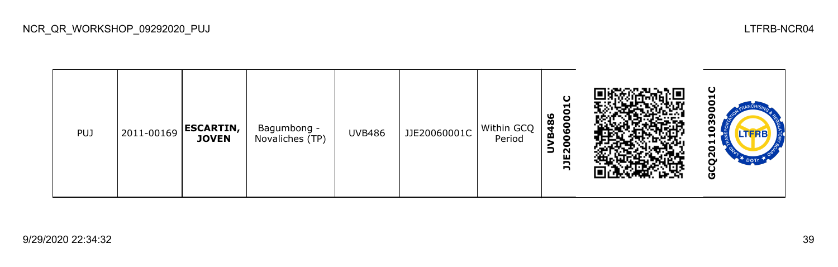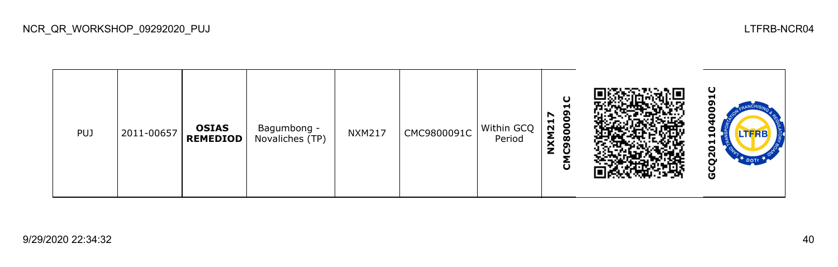

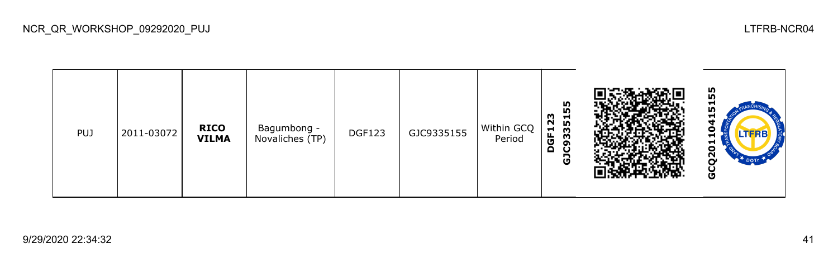| <b>PUJ</b> | 2011-03072 | <b>RICO</b><br><b>VILMA</b> | Bagumbong -<br>Novaliches (TP) | <b>DGF123</b> | GJC9335155 | Within GCQ<br>Period | 55<br>23<br>C93351<br>GF1<br>Ă<br>යි |  | 55<br>−<br><b>In</b><br>o<br>−<br>5<br>$\tilde{\mathbf{S}}$<br>DOTE<br>မ္ပ |
|------------|------------|-----------------------------|--------------------------------|---------------|------------|----------------------|--------------------------------------|--|----------------------------------------------------------------------------|
|------------|------------|-----------------------------|--------------------------------|---------------|------------|----------------------|--------------------------------------|--|----------------------------------------------------------------------------|

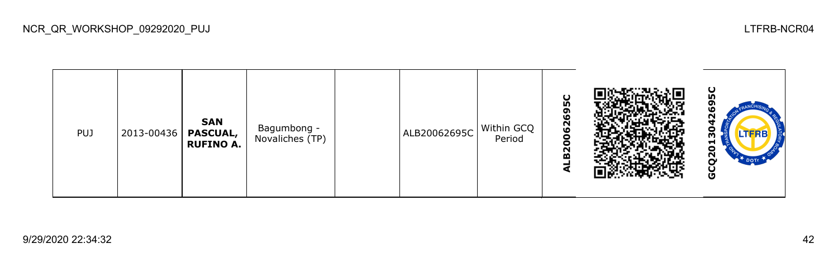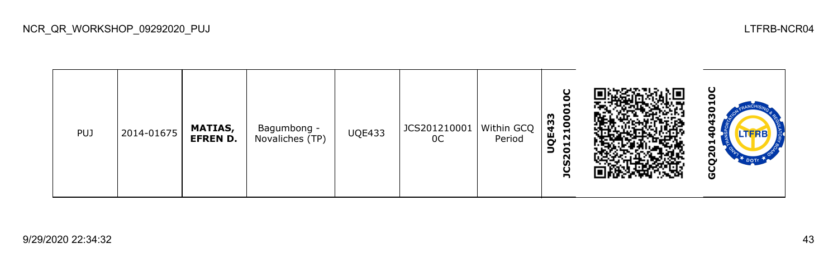| <b>PUJ</b> | $ 2014 - 01675 $ | <b>MATIAS,</b><br><b>EFREN D.</b> | Bagumbong -<br>Novaliches (TP) | <b>UQE433</b> | JCS201210001   Within GCQ<br>0C | Period | g<br>21000<br><b>QE433</b><br>⊣<br>∍<br>$\bullet$<br>$\sim$<br>U)<br>n |  | ပ<br>−<br>o<br>w<br>LTFRB<br>−<br>o<br>2<br>$\mathbf{r}$ DOTr<br>O |
|------------|------------------|-----------------------------------|--------------------------------|---------------|---------------------------------|--------|------------------------------------------------------------------------|--|--------------------------------------------------------------------|
|------------|------------------|-----------------------------------|--------------------------------|---------------|---------------------------------|--------|------------------------------------------------------------------------|--|--------------------------------------------------------------------|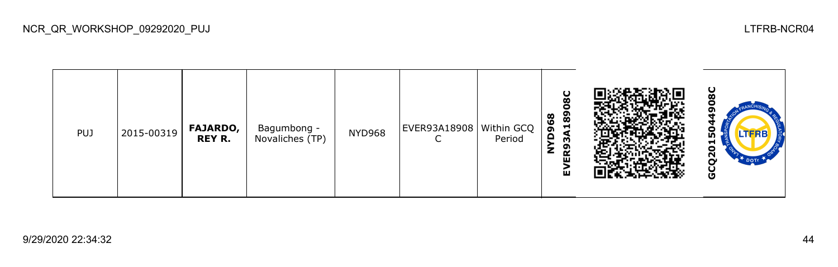| <b>PUJ</b> | 2015-00319 | <b>FAJARDO,</b><br><b>REY R.</b> | Bagumbong -<br>Novaliches (TP) | <b>NYD968</b> | EVER93A18908   Within GCQ | Period | U<br>Ø<br>с<br>189<br>968<br>≏<br>m<br>ER9<br>z<br>ú |  | ပ<br>ထ<br>o<br>m<br>린<br>o<br>Ñ<br>DOTT<br>O |
|------------|------------|----------------------------------|--------------------------------|---------------|---------------------------|--------|------------------------------------------------------|--|----------------------------------------------|
|------------|------------|----------------------------------|--------------------------------|---------------|---------------------------|--------|------------------------------------------------------|--|----------------------------------------------|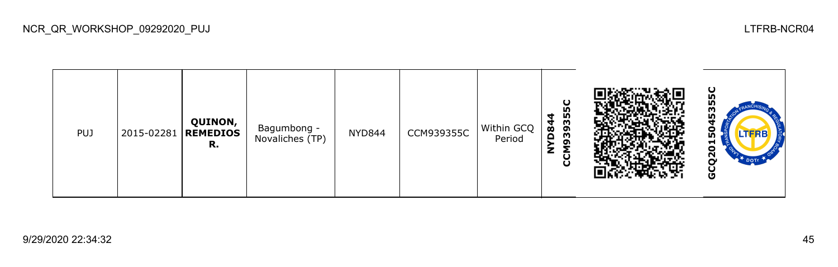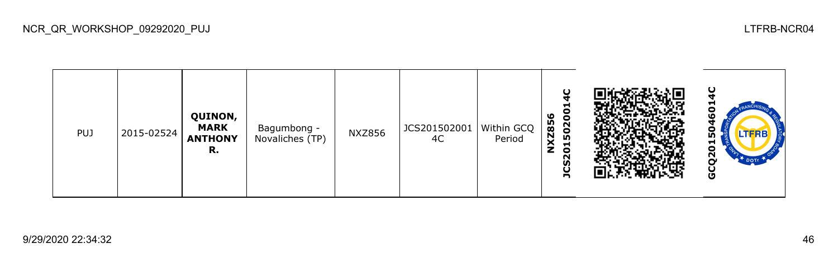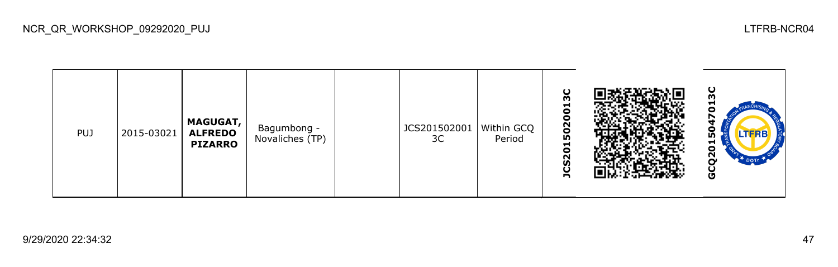| <b>PUJ</b> | 2015-03021 | <b>MAGUGAT,</b><br><b>ALFREDO</b><br><b>PIZARRO</b> | Bagumbong -<br>Novaliches (TP) |  | JCS201502001<br>3C | Within GCQ<br>Period | O<br>ო<br>−<br>c<br>0<br>502<br>ᆋ<br>o<br>$\sim$<br>m<br>С<br>n |  | ပ<br>ო<br>−<br>o<br>o<br>LTFRB<br>n,<br>ы<br>o<br>N<br>r<br>DOTT<br>Ū<br>U |
|------------|------------|-----------------------------------------------------|--------------------------------|--|--------------------|----------------------|-----------------------------------------------------------------|--|----------------------------------------------------------------------------|
|------------|------------|-----------------------------------------------------|--------------------------------|--|--------------------|----------------------|-----------------------------------------------------------------|--|----------------------------------------------------------------------------|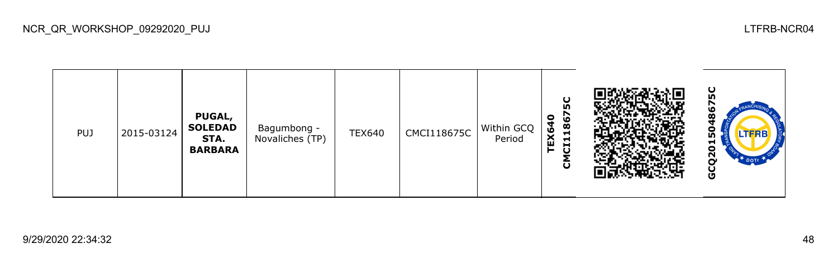ပ္ပ **GCQ2015048675CCMCI118675C** N **PUGAL, TEX640 SOLEDAD**  Bagumbong -<br>Novaliches (TP) TEX640  $\Big|$  CMCI118675C Within GCQ PUJ 2015-03124 ဌ **STA.** Period GCQ20 **BARBARA**

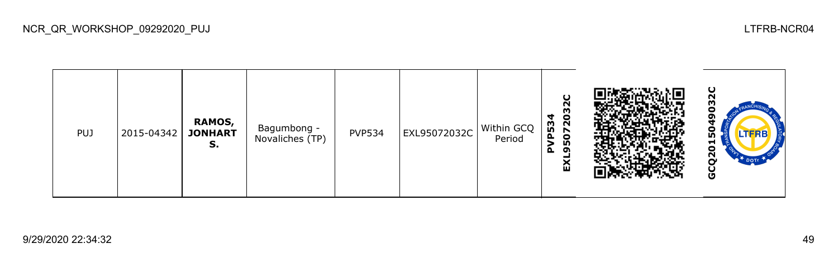

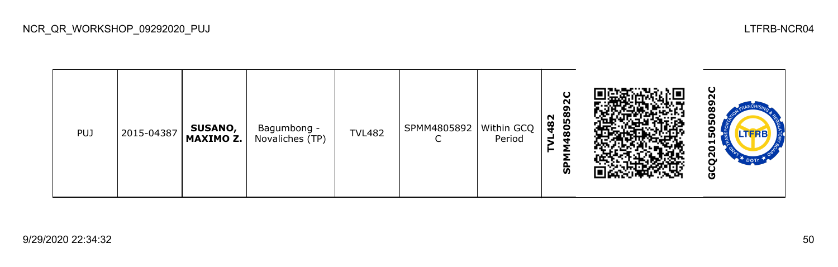| <b>PUJ</b> | 2015-04387 | <b>SUSANO,</b><br>MAXIMO Z. | Bagumbong -<br>Novaliches (TP) | <b>TVL482</b> | SPMM4805892<br>⌒ | Within GCQ<br>Period | O<br>N<br>ິດ<br>8058<br>482<br>ᆗ<br>ჭ |  | ပ<br>о<br>ற<br>o<br><b>LTFRB</b><br>ம<br>ы<br>ō<br>Ñ<br>r<br>U |
|------------|------------|-----------------------------|--------------------------------|---------------|------------------|----------------------|---------------------------------------|--|----------------------------------------------------------------|
|------------|------------|-----------------------------|--------------------------------|---------------|------------------|----------------------|---------------------------------------|--|----------------------------------------------------------------|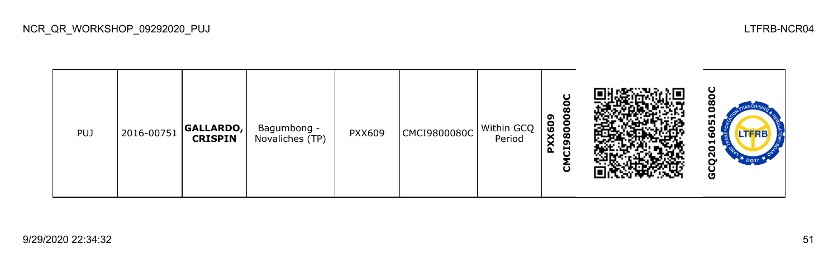| <b>PUJ</b> | 2016-00751 | <b>GALLARDO,</b><br><b>CRISPIN</b> | Bagumbong -<br>Novaliches (TP) | PXX609 | CMCI9800080C | Within GCQ<br>Period | $\mathbf C$<br>80<br>8000<br>ຶ<br><b>XX60</b><br>ō<br>Ū<br>$\mathbf{a}$<br>ũ |  | ပ<br>о<br>⊣<br>ŋ<br>Ξ<br><b>LTFRB</b><br>ដ<br>Ñ<br>n<br>U |
|------------|------------|------------------------------------|--------------------------------|--------|--------------|----------------------|------------------------------------------------------------------------------|--|-----------------------------------------------------------|
|------------|------------|------------------------------------|--------------------------------|--------|--------------|----------------------|------------------------------------------------------------------------------|--|-----------------------------------------------------------|

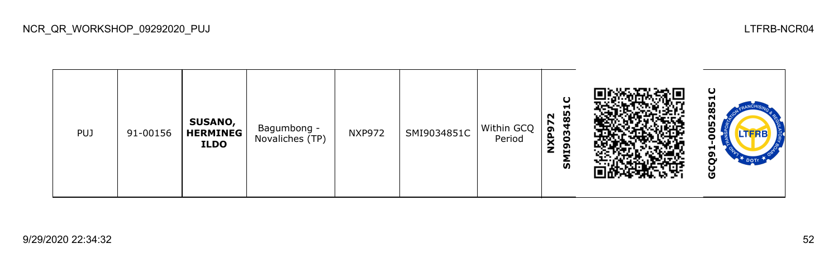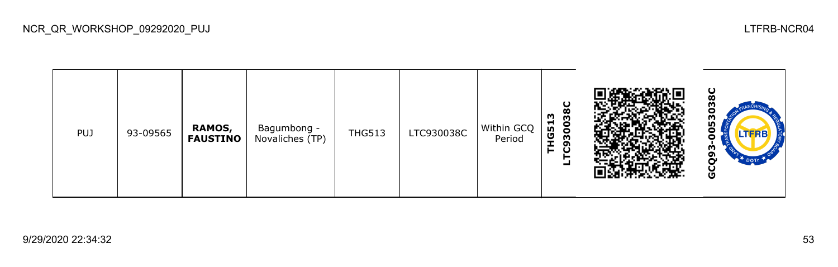| <b>PUJ</b> | 93-09565 | RAMOS,<br><b>FAUSTINO</b> | Bagumbong -<br>Novaliches (TP) | <b>THG513</b> | LTC930038C | Within GCQ<br>Period | O<br>30038<br><b>HG513</b><br>ຶ<br>⊨<br>U |  | ပ<br>U<br>ო<br>ი<br>о<br><b>LTFRB</b><br>о<br>o<br>မိ |
|------------|----------|---------------------------|--------------------------------|---------------|------------|----------------------|-------------------------------------------|--|-------------------------------------------------------|
|------------|----------|---------------------------|--------------------------------|---------------|------------|----------------------|-------------------------------------------|--|-------------------------------------------------------|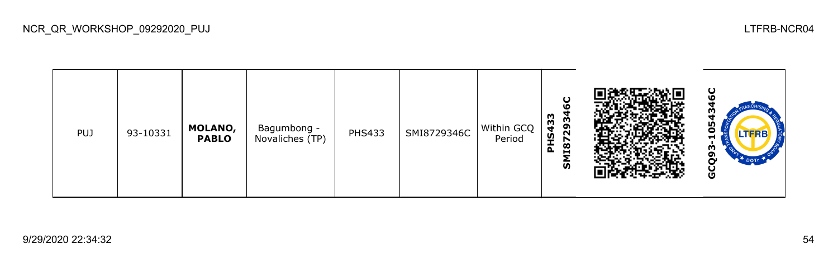| <b>PUJ</b> | 93-10331 | MOLANO,<br><b>PABLO</b> | Bagumbong -<br>Novaliches (TP) | <b>PHS433</b> | SMI8729346C | Within GCQ<br>Period | U<br><b>LO</b><br>433<br>2934<br>ě<br>1187<br>௳<br>ົທ |  | ပ<br>ഥ<br>m<br>w<br>-<br>Ŵ<br>o<br>DOTH<br>မိ |
|------------|----------|-------------------------|--------------------------------|---------------|-------------|----------------------|-------------------------------------------------------|--|-----------------------------------------------|
|------------|----------|-------------------------|--------------------------------|---------------|-------------|----------------------|-------------------------------------------------------|--|-----------------------------------------------|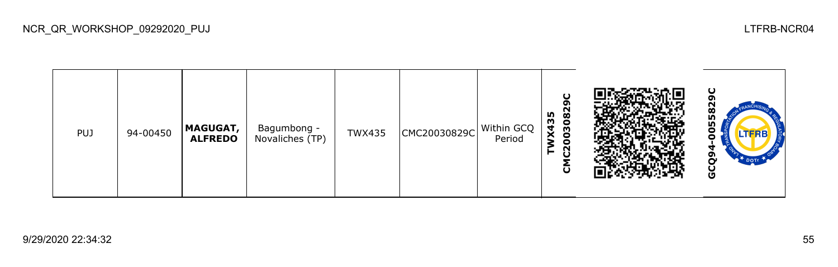| <b>PUJ</b> | 94-00450 | <b>MAGUGAT,</b><br><b>ALFREDO</b> | Bagumbong -<br>Novaliches (TP) | <b>TWX435</b> | CMC20030829C | Within GCQ<br>Period | ິດ<br>82<br><b>X435</b><br>030<br>c<br>O |  | $\mathbf C$<br>558<br>۰<br>o<br>თ<br>$*_{\text{DOTr}}$<br>Ò<br>9 |
|------------|----------|-----------------------------------|--------------------------------|---------------|--------------|----------------------|------------------------------------------|--|------------------------------------------------------------------|
|------------|----------|-----------------------------------|--------------------------------|---------------|--------------|----------------------|------------------------------------------|--|------------------------------------------------------------------|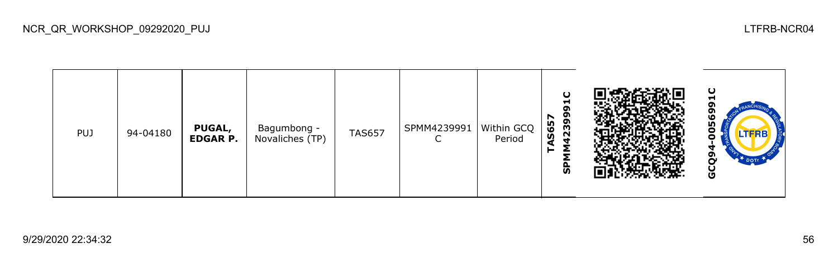| <b>PUJ</b> | 94-04180 | <b>PUGAL,</b><br><b>EDGAR P.</b> | Bagumbong -<br>Novaliches (TP) | <b>TAS657</b> | SPMM4239991<br>֊ | Within GCQ<br>Period | O<br>ы<br>໑<br>12399<br>N<br>S65<br>င္ဟ |  | ပ<br>−<br>56<br>ο<br><b>LTERB</b><br>J<br>Ū |
|------------|----------|----------------------------------|--------------------------------|---------------|------------------|----------------------|-----------------------------------------|--|---------------------------------------------|
|------------|----------|----------------------------------|--------------------------------|---------------|------------------|----------------------|-----------------------------------------|--|---------------------------------------------|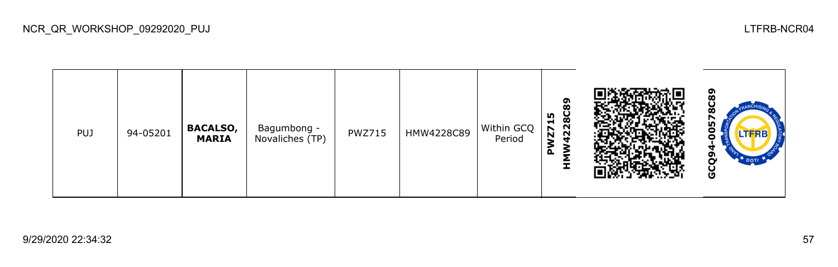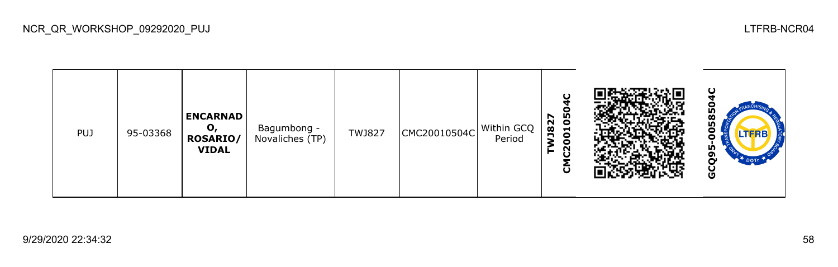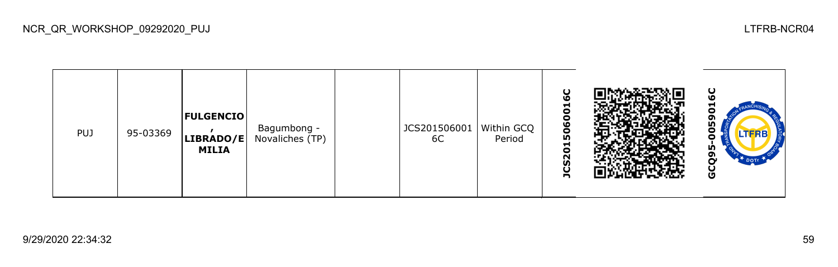| <b>PUJ</b> | 95-03369 | <b>FULGENCIO</b><br>LIBRADO/E<br>MILIA | Bagumbong -<br>Novaliches (TP) |  | JCS201506001<br>6C | Within GCQ<br>Period | O<br>ဖ<br>ᆋ<br>o<br>°<br>506<br>S201<br>n |  | ပ<br>ഥ<br>−<br>o<br>თ<br>ი<br>$\bullet$<br>o<br>n,<br>ີ<br>Ò<br>$2^{\text{+}}$ DOTE<br>မိ |
|------------|----------|----------------------------------------|--------------------------------|--|--------------------|----------------------|-------------------------------------------|--|-------------------------------------------------------------------------------------------|
|------------|----------|----------------------------------------|--------------------------------|--|--------------------|----------------------|-------------------------------------------|--|-------------------------------------------------------------------------------------------|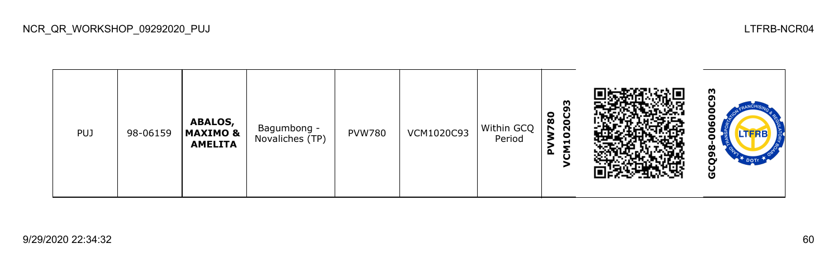| PUJ | 98-06159 | ABALOS,<br><b>MAXIMO &amp;</b><br><b>AMELITA</b> | Bagumbong -<br>Novaliches (TP) | <b>PVW780</b> | VCM1020C93 | Within GCQ<br>Period | m<br>o<br>$\bf{S}$<br><b>20C</b><br>r<br>$\bullet$<br>$\blacksquare$<br>௳ |  | Ŵ<br>o<br>U<br>o<br>Ō<br>TFRE<br>−<br>Ò<br>თ<br>$\mathbb{R}^T$ DOTE<br>Ū |
|-----|----------|--------------------------------------------------|--------------------------------|---------------|------------|----------------------|---------------------------------------------------------------------------|--|--------------------------------------------------------------------------|
|-----|----------|--------------------------------------------------|--------------------------------|---------------|------------|----------------------|---------------------------------------------------------------------------|--|--------------------------------------------------------------------------|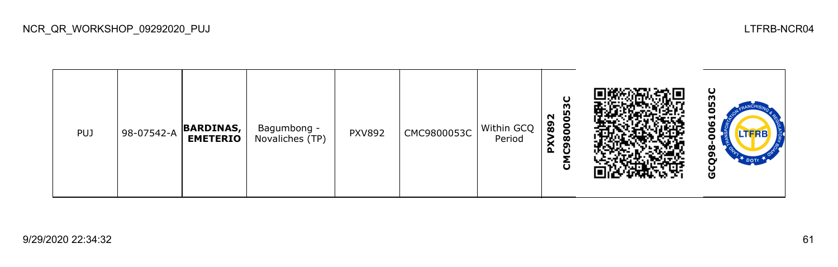| <b>PUJ</b> | 98-07542-A | <b>BARDINAS,</b><br><b>EMETERIO</b> | Bagumbong -<br>Novaliches (TP) | <b>PXV892</b> | CMC9800053C | Within GCQ<br>Period | O<br>m<br>မ္မ<br>N<br>89<br>8<br>⋧<br>œ<br>ີ<br>$\sim$<br>ចិ |  | ပ<br>ო<br><b>In</b><br>o<br>5<br>0<br>o<br>മ<br>o<br>မ္ပ |
|------------|------------|-------------------------------------|--------------------------------|---------------|-------------|----------------------|--------------------------------------------------------------|--|----------------------------------------------------------|
|------------|------------|-------------------------------------|--------------------------------|---------------|-------------|----------------------|--------------------------------------------------------------|--|----------------------------------------------------------|

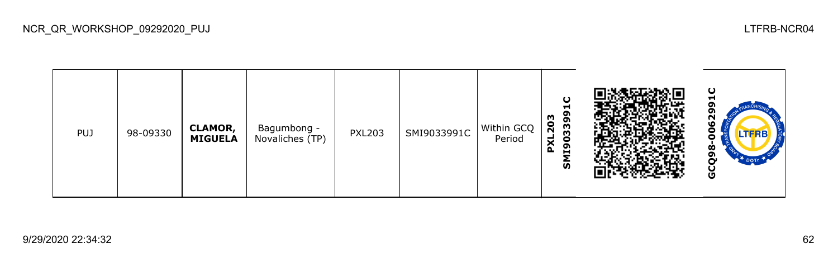| <b>PUJ</b> | 98-09330 | <b>CLAMOR,</b><br><b>MIGUELA</b> | Bagumbong -<br>Novaliches (TP) | <b>PXL203</b> | SMI9033991C | Within GCQ<br>Period | ပ<br>-<br>3399<br>8<br>$\overline{N}$<br>۳<br>c<br>$\times$<br>ຶ<br>$\sim$<br>н<br>ົທ |  | ပ<br>−<br>oı<br>oı<br>ვ<br>ა<br>0<br>.TFRB<br>o<br>ထ<br>o<br>n<br>မိ |
|------------|----------|----------------------------------|--------------------------------|---------------|-------------|----------------------|---------------------------------------------------------------------------------------|--|----------------------------------------------------------------------|
|------------|----------|----------------------------------|--------------------------------|---------------|-------------|----------------------|---------------------------------------------------------------------------------------|--|----------------------------------------------------------------------|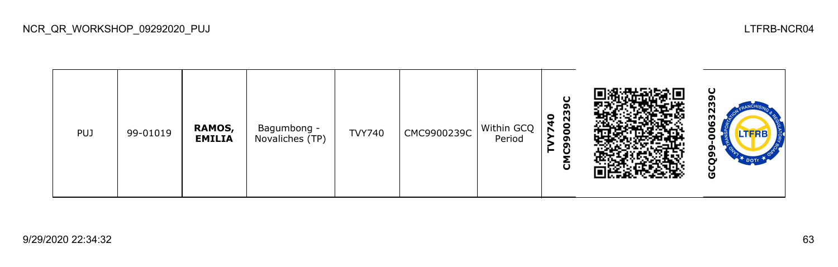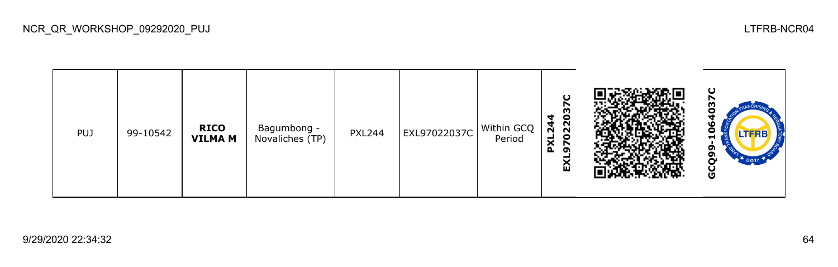

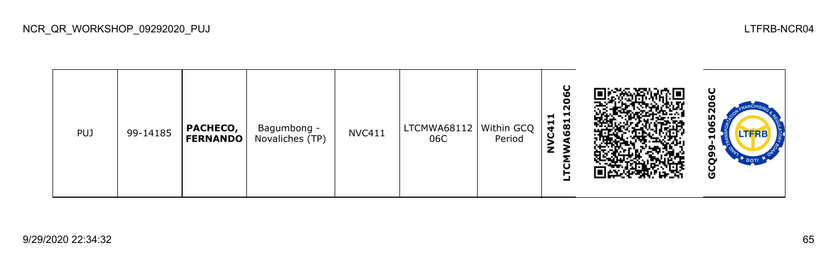| <b>PUJ</b> | 99-14185 | PACHECO,<br><b>FERNANDO</b> | Bagumbong -<br>Novaliches (TP) | <b>NVC411</b> | LTCMWA68112   Within GCQ<br>06C | Period | U<br>۱O<br>o<br>n<br>⊣<br>n<br>C41<br>681<br>z |  | ပ<br>N<br>59<br>0<br>⊣<br>ີຕ<br><b>DOTT</b><br>Ω<br>မ္ပ |
|------------|----------|-----------------------------|--------------------------------|---------------|---------------------------------|--------|------------------------------------------------|--|---------------------------------------------------------|
|------------|----------|-----------------------------|--------------------------------|---------------|---------------------------------|--------|------------------------------------------------|--|---------------------------------------------------------|